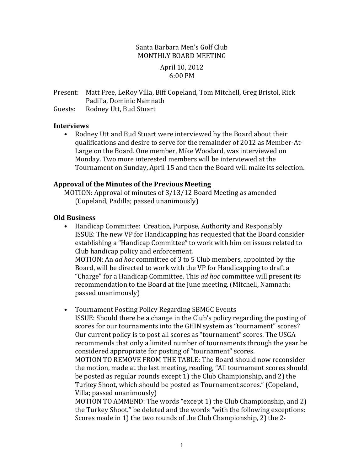### Santa Barbara Men's Golf Club MONTHLY BOARD MEETING

#### April 10, 2012 6:00 PM

Present: Matt Free, LeRoy Villa, Biff Copeland, Tom Mitchell, Greg Bristol, Rick Padilla, Dominic Namnath

Guests: Rodney Utt, Bud Stuart

#### **Interviews**

• Rodney Utt and Bud Stuart were interviewed by the Board about their qualifications and desire to serve for the remainder of 2012 as Member-At-Large on the Board. One member, Mike Woodard, was interviewed on Monday. Two more interested members will be interviewed at the Tournament on Sunday, April 15 and then the Board will make its selection.

## **Approval of the Minutes of the Previous Meeting**

MOTION: Approval of minutes of 3/13/12 Board Meeting as amended (Copeland, Padilla; passed unanimously)

## **Old Business**

• Handicap Committee: Creation, Purpose, Authority and Responsibly **ISSUE:** The new VP for Handicapping has requested that the Board consider establishing a "Handicap Committee" to work with him on issues related to Club handicap policy and enforcement. MOTION: An *ad hoc* committee of 3 to 5 Club members, appointed by the Board, will be directed to work with the VP for Handicapping to draft a "Charge" for a Handicap Committee. This *ad hoc* committee will present its

recommendation to the Board at the June meeting. (Mitchell, Namnath; passed unanimously)

• Tournament Posting Policy Regarding SBMGC Events ISSUE: Should there be a change in the Club's policy regarding the posting of scores for our tournaments into the GHIN system as "tournament" scores? Our current policy is to post all scores as "tournament" scores. The USGA recommends that only a limited number of tournaments through the year be considered appropriate for posting of "tournament" scores. MOTION TO REMOVE FROM THE TABLE: The Board should now reconsider the motion, made at the last meeting, reading, "All tournament scores should be posted as regular rounds except 1) the Club Championship, and 2) the Turkey Shoot, which should be posted as Tournament scores." (Copeland, Villa; passed unanimously)

MOTION TO AMMEND: The words "except 1) the Club Championship, and 2) the Turkey Shoot." be deleted and the words "with the following exceptions: Scores made in 1) the two rounds of the Club Championship, 2) the  $2$ -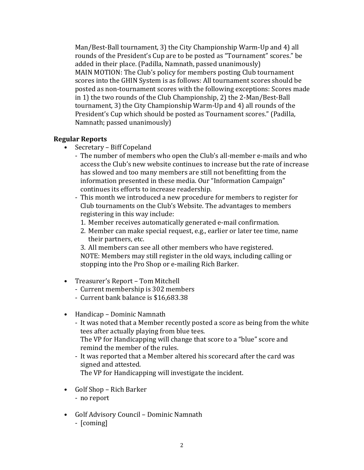Man/Best-Ball tournament, 3) the City Championship Warm-Up and 4) all rounds of the President's Cup are to be posted as "Tournament" scores." be added in their place. (Padilla, Namnath, passed unanimously) MAIN MOTION: The Club's policy for members posting Club tournament scores into the GHIN System is as follows: All tournament scores should be posted as non-tournament scores with the following exceptions: Scores made in 1) the two rounds of the Club Championship, 2) the 2-Man/Best-Ball tournament, 3) the City Championship Warm-Up and 4) all rounds of the President's Cup which should be posted as Tournament scores." (Padilla, Namnath; passed unanimously)

#### **Regular Reports**

- Secretary Biff Copeland
	- The number of members who open the Club's all-member e-mails and who access the Club's new website continues to increase but the rate of increase has slowed and too many members are still not benefitting from the information presented in these media. Our "Information Campaign" continues its efforts to increase readership.
	- This month we introduced a new procedure for members to register for Club tournaments on the Club's Website. The advantages to members registering in this way include:
		- 1. Member receives automatically generated e-mail confirmation.
		- 2. Member can make special request, e.g., earlier or later tee time, name their partners, etc.
		- 3. All members can see all other members who have registered. NOTE: Members may still register in the old ways, including calling or stopping into the Pro Shop or e-mailing Rich Barker.
- Treasurer's Report Tom Mitchell
	- Current membership is 302 members
	- Current bank balance is \$16,683.38
- Handicap Dominic Namnath
	- It was noted that a Member recently posted a score as being from the white tees after actually playing from blue tees.

The VP for Handicapping will change that score to a "blue" score and remind the member of the rules.

- It was reported that a Member altered his scorecard after the card was signed and attested.

The VP for Handicapping will investigate the incident.

- Golf Shop Rich Barker
	- no report
- Golf Advisory Council Dominic Namnath - [coming]